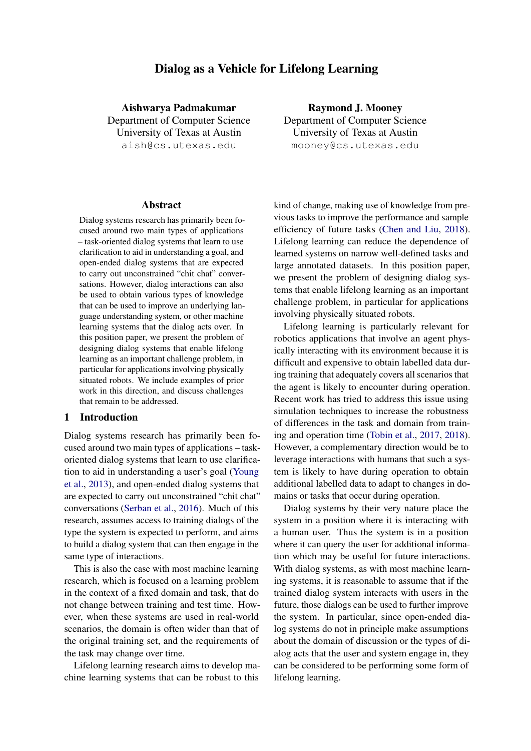# Dialog as a Vehicle for Lifelong Learning

Aishwarya Padmakumar

Department of Computer Science University of Texas at Austin aish@cs.utexas.edu

#### Abstract

Dialog systems research has primarily been focused around two main types of applications – task-oriented dialog systems that learn to use clarification to aid in understanding a goal, and open-ended dialog systems that are expected to carry out unconstrained "chit chat" conversations. However, dialog interactions can also be used to obtain various types of knowledge that can be used to improve an underlying language understanding system, or other machine learning systems that the dialog acts over. In this position paper, we present the problem of designing dialog systems that enable lifelong learning as an important challenge problem, in particular for applications involving physically situated robots. We include examples of prior work in this direction, and discuss challenges that remain to be addressed.

#### 1 Introduction

Dialog systems research has primarily been focused around two main types of applications – taskoriented dialog systems that learn to use clarification to aid in understanding a user's goal [\(Young](#page-6-0) [et al.,](#page-6-0) [2013\)](#page-6-0), and open-ended dialog systems that are expected to carry out unconstrained "chit chat" conversations [\(Serban et al.,](#page-5-0) [2016\)](#page-5-0). Much of this research, assumes access to training dialogs of the type the system is expected to perform, and aims to build a dialog system that can then engage in the same type of interactions.

This is also the case with most machine learning research, which is focused on a learning problem in the context of a fixed domain and task, that do not change between training and test time. However, when these systems are used in real-world scenarios, the domain is often wider than that of the original training set, and the requirements of the task may change over time.

Lifelong learning research aims to develop machine learning systems that can be robust to this

Raymond J. Mooney Department of Computer Science

University of Texas at Austin mooney@cs.utexas.edu

kind of change, making use of knowledge from previous tasks to improve the performance and sample efficiency of future tasks [\(Chen and Liu,](#page-4-0) [2018\)](#page-4-0). Lifelong learning can reduce the dependence of learned systems on narrow well-defined tasks and large annotated datasets. In this position paper, we present the problem of designing dialog systems that enable lifelong learning as an important challenge problem, in particular for applications involving physically situated robots.

Lifelong learning is particularly relevant for robotics applications that involve an agent physically interacting with its environment because it is difficult and expensive to obtain labelled data during training that adequately covers all scenarios that the agent is likely to encounter during operation. Recent work has tried to address this issue using simulation techniques to increase the robustness of differences in the task and domain from training and operation time [\(Tobin et al.,](#page-6-1) [2017,](#page-6-1) [2018\)](#page-5-1). However, a complementary direction would be to leverage interactions with humans that such a system is likely to have during operation to obtain additional labelled data to adapt to changes in domains or tasks that occur during operation.

Dialog systems by their very nature place the system in a position where it is interacting with a human user. Thus the system is in a position where it can query the user for additional information which may be useful for future interactions. With dialog systems, as with most machine learning systems, it is reasonable to assume that if the trained dialog system interacts with users in the future, those dialogs can be used to further improve the system. In particular, since open-ended dialog systems do not in principle make assumptions about the domain of discussion or the types of dialog acts that the user and system engage in, they can be considered to be performing some form of lifelong learning.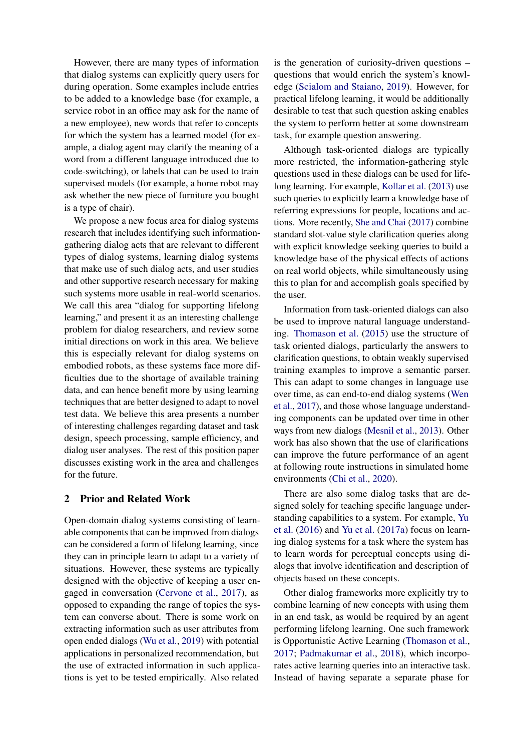However, there are many types of information that dialog systems can explicitly query users for during operation. Some examples include entries to be added to a knowledge base (for example, a service robot in an office may ask for the name of a new employee), new words that refer to concepts for which the system has a learned model (for example, a dialog agent may clarify the meaning of a word from a different language introduced due to code-switching), or labels that can be used to train supervised models (for example, a home robot may ask whether the new piece of furniture you bought is a type of chair).

We propose a new focus area for dialog systems research that includes identifying such informationgathering dialog acts that are relevant to different types of dialog systems, learning dialog systems that make use of such dialog acts, and user studies and other supportive research necessary for making such systems more usable in real-world scenarios. We call this area "dialog for supporting lifelong learning," and present it as an interesting challenge problem for dialog researchers, and review some initial directions on work in this area. We believe this is especially relevant for dialog systems on embodied robots, as these systems face more difficulties due to the shortage of available training data, and can hence benefit more by using learning techniques that are better designed to adapt to novel test data. We believe this area presents a number of interesting challenges regarding dataset and task design, speech processing, sample efficiency, and dialog user analyses. The rest of this position paper discusses existing work in the area and challenges for the future.

## 2 Prior and Related Work

Open-domain dialog systems consisting of learnable components that can be improved from dialogs can be considered a form of lifelong learning, since they can in principle learn to adapt to a variety of situations. However, these systems are typically designed with the objective of keeping a user engaged in conversation [\(Cervone et al.,](#page-4-1) [2017\)](#page-4-1), as opposed to expanding the range of topics the system can converse about. There is some work on extracting information such as user attributes from open ended dialogs [\(Wu et al.,](#page-6-2) [2019\)](#page-6-2) with potential applications in personalized recommendation, but the use of extracted information in such applications is yet to be tested empirically. Also related

is the generation of curiosity-driven questions – questions that would enrich the system's knowledge [\(Scialom and Staiano,](#page-5-2) [2019\)](#page-5-2). However, for practical lifelong learning, it would be additionally desirable to test that such question asking enables the system to perform better at some downstream task, for example question answering.

Although task-oriented dialogs are typically more restricted, the information-gathering style questions used in these dialogs can be used for lifelong learning. For example, [Kollar et al.](#page-5-3) [\(2013\)](#page-5-3) use such queries to explicitly learn a knowledge base of referring expressions for people, locations and actions. More recently, [She and Chai](#page-5-4) [\(2017\)](#page-5-4) combine standard slot-value style clarification queries along with explicit knowledge seeking queries to build a knowledge base of the physical effects of actions on real world objects, while simultaneously using this to plan for and accomplish goals specified by the user.

Information from task-oriented dialogs can also be used to improve natural language understanding. [Thomason et al.](#page-5-5) [\(2015\)](#page-5-5) use the structure of task oriented dialogs, particularly the answers to clarification questions, to obtain weakly supervised training examples to improve a semantic parser. This can adapt to some changes in language use over time, as can end-to-end dialog systems [\(Wen](#page-6-3) [et al.,](#page-6-3) [2017\)](#page-6-3), and those whose language understanding components can be updated over time in other ways from new dialogs [\(Mesnil et al.,](#page-5-6) [2013\)](#page-5-6). Other work has also shown that the use of clarifications can improve the future performance of an agent at following route instructions in simulated home environments [\(Chi et al.,](#page-4-2) [2020\)](#page-4-2).

There are also some dialog tasks that are designed solely for teaching specific language understanding capabilities to a system. For example, [Yu](#page-6-4) [et al.](#page-6-4) [\(2016\)](#page-6-4) and [Yu et al.](#page-6-5) [\(2017a\)](#page-6-5) focus on learning dialog systems for a task where the system has to learn words for perceptual concepts using dialogs that involve identification and description of objects based on these concepts.

Other dialog frameworks more explicitly try to combine learning of new concepts with using them in an end task, as would be required by an agent performing lifelong learning. One such framework is Opportunistic Active Learning [\(Thomason et al.,](#page-5-7) [2017;](#page-5-7) [Padmakumar et al.,](#page-5-8) [2018\)](#page-5-8), which incorporates active learning queries into an interactive task. Instead of having separate a separate phase for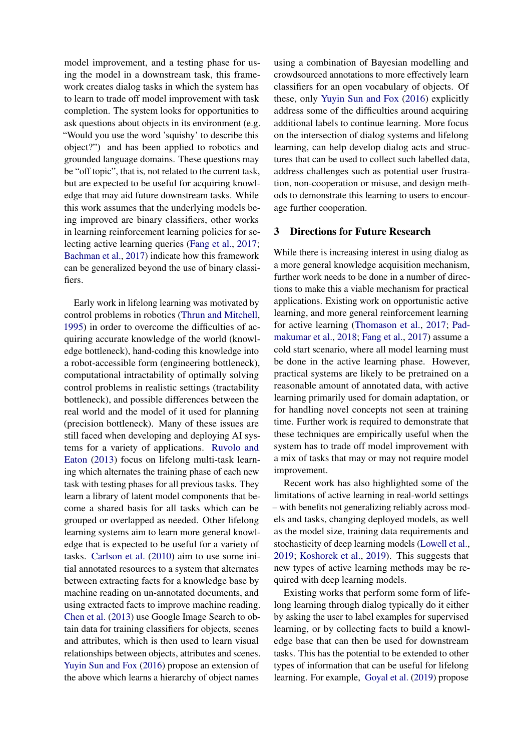model improvement, and a testing phase for using the model in a downstream task, this framework creates dialog tasks in which the system has to learn to trade off model improvement with task completion. The system looks for opportunities to ask questions about objects in its environment (e.g. "Would you use the word 'squishy' to describe this object?") and has been applied to robotics and grounded language domains. These questions may be "off topic", that is, not related to the current task, but are expected to be useful for acquiring knowledge that may aid future downstream tasks. While this work assumes that the underlying models being improved are binary classifiers, other works in learning reinforcement learning policies for selecting active learning queries [\(Fang et al.,](#page-5-9) [2017;](#page-5-9) [Bachman et al.,](#page-4-3) [2017\)](#page-4-3) indicate how this framework can be generalized beyond the use of binary classifiers.

Early work in lifelong learning was motivated by control problems in robotics [\(Thrun and Mitchell,](#page-5-10) [1995\)](#page-5-10) in order to overcome the difficulties of acquiring accurate knowledge of the world (knowledge bottleneck), hand-coding this knowledge into a robot-accessible form (engineering bottleneck), computational intractability of optimally solving control problems in realistic settings (tractability bottleneck), and possible differences between the real world and the model of it used for planning (precision bottleneck). Many of these issues are still faced when developing and deploying AI systems for a variety of applications. [Ruvolo and](#page-5-11) [Eaton](#page-5-11) [\(2013\)](#page-5-11) focus on lifelong multi-task learning which alternates the training phase of each new task with testing phases for all previous tasks. They learn a library of latent model components that become a shared basis for all tasks which can be grouped or overlapped as needed. Other lifelong learning systems aim to learn more general knowledge that is expected to be useful for a variety of tasks. [Carlson et al.](#page-4-4) [\(2010\)](#page-4-4) aim to use some initial annotated resources to a system that alternates between extracting facts for a knowledge base by machine reading on un-annotated documents, and using extracted facts to improve machine reading. [Chen et al.](#page-4-5) [\(2013\)](#page-4-5) use Google Image Search to obtain data for training classifiers for objects, scenes and attributes, which is then used to learn visual relationships between objects, attributes and scenes. [Yuyin Sun and Fox](#page-6-6) [\(2016\)](#page-6-6) propose an extension of the above which learns a hierarchy of object names

using a combination of Bayesian modelling and crowdsourced annotations to more effectively learn classifiers for an open vocabulary of objects. Of these, only [Yuyin Sun and Fox](#page-6-6) [\(2016\)](#page-6-6) explicitly address some of the difficulties around acquiring additional labels to continue learning. More focus on the intersection of dialog systems and lifelong learning, can help develop dialog acts and structures that can be used to collect such labelled data, address challenges such as potential user frustration, non-cooperation or misuse, and design methods to demonstrate this learning to users to encourage further cooperation.

### 3 Directions for Future Research

While there is increasing interest in using dialog as a more general knowledge acquisition mechanism, further work needs to be done in a number of directions to make this a viable mechanism for practical applications. Existing work on opportunistic active learning, and more general reinforcement learning for active learning [\(Thomason et al.,](#page-5-7) [2017;](#page-5-7) [Pad](#page-5-8)[makumar et al.,](#page-5-8) [2018;](#page-5-8) [Fang et al.,](#page-5-9) [2017\)](#page-5-9) assume a cold start scenario, where all model learning must be done in the active learning phase. However, practical systems are likely to be pretrained on a reasonable amount of annotated data, with active learning primarily used for domain adaptation, or for handling novel concepts not seen at training time. Further work is required to demonstrate that these techniques are empirically useful when the system has to trade off model improvement with a mix of tasks that may or may not require model improvement.

Recent work has also highlighted some of the limitations of active learning in real-world settings – with benefits not generalizing reliably across models and tasks, changing deployed models, as well as the model size, training data requirements and stochasticity of deep learning models [\(Lowell et al.,](#page-5-12) [2019;](#page-5-12) [Koshorek et al.,](#page-5-13) [2019\)](#page-5-13). This suggests that new types of active learning methods may be required with deep learning models.

Existing works that perform some form of lifelong learning through dialog typically do it either by asking the user to label examples for supervised learning, or by collecting facts to build a knowledge base that can then be used for downstream tasks. This has the potential to be extended to other types of information that can be useful for lifelong learning. For example, [Goyal et al.](#page-5-14) [\(2019\)](#page-5-14) propose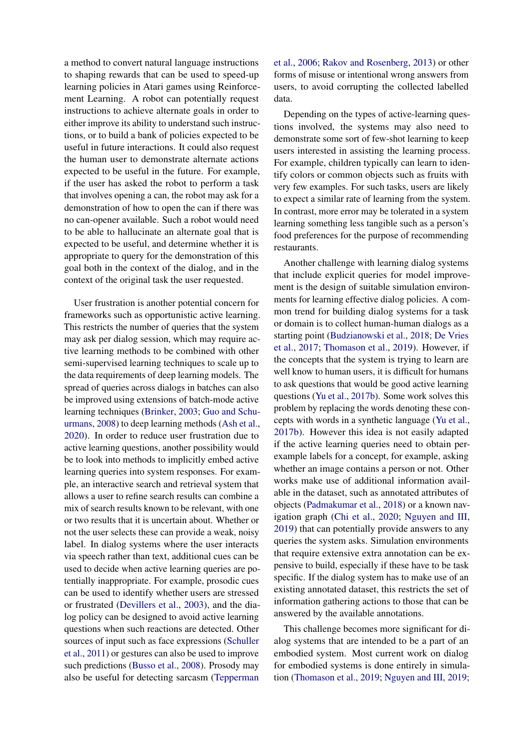a method to convert natural language instructions to shaping rewards that can be used to speed-up learning policies in Atari games using Reinforcement Learning. A robot can potentially request instructions to achieve alternate goals in order to either improve its ability to understand such instructions, or to build a bank of policies expected to be useful in future interactions. It could also request the human user to demonstrate alternate actions expected to be useful in the future. For example, if the user has asked the robot to perform a task that involves opening a can, the robot may ask for a demonstration of how to open the can if there was no can-opener available. Such a robot would need to be able to hallucinate an alternate goal that is expected to be useful, and determine whether it is appropriate to query for the demonstration of this goal both in the context of the dialog, and in the context of the original task the user requested.

User frustration is another potential concern for frameworks such as opportunistic active learning. This restricts the number of queries that the system may ask per dialog session, which may require active learning methods to be combined with other semi-supervised learning techniques to scale up to the data requirements of deep learning models. The spread of queries across dialogs in batches can also be improved using extensions of batch-mode active learning techniques [\(Brinker,](#page-4-6) [2003;](#page-4-6) [Guo and Schu](#page-5-15)[urmans,](#page-5-15) [2008\)](#page-5-15) to deep learning methods [\(Ash et al.,](#page-4-7) [2020\)](#page-4-7). In order to reduce user frustration due to active learning questions, another possibility would be to look into methods to implicitly embed active learning queries into system responses. For example, an interactive search and retrieval system that allows a user to refine search results can combine a mix of search results known to be relevant, with one or two results that it is uncertain about. Whether or not the user selects these can provide a weak, noisy label. In dialog systems where the user interacts via speech rather than text, additional cues can be used to decide when active learning queries are potentially inappropriate. For example, prosodic cues can be used to identify whether users are stressed or frustrated [\(Devillers et al.,](#page-5-16) [2003\)](#page-5-16), and the dialog policy can be designed to avoid active learning questions when such reactions are detected. Other sources of input such as face expressions [\(Schuller](#page-5-17) [et al.,](#page-5-17) [2011\)](#page-5-17) or gestures can also be used to improve such predictions [\(Busso et al.,](#page-4-8) [2008\)](#page-4-8). Prosody may also be useful for detecting sarcasm [\(Tepperman](#page-5-18)

[et al.,](#page-5-18) [2006;](#page-5-18) [Rakov and Rosenberg,](#page-5-19) [2013\)](#page-5-19) or other forms of misuse or intentional wrong answers from users, to avoid corrupting the collected labelled data.

Depending on the types of active-learning questions involved, the systems may also need to demonstrate some sort of few-shot learning to keep users interested in assisting the learning process. For example, children typically can learn to identify colors or common objects such as fruits with very few examples. For such tasks, users are likely to expect a similar rate of learning from the system. In contrast, more error may be tolerated in a system learning something less tangible such as a person's food preferences for the purpose of recommending restaurants.

Another challenge with learning dialog systems that include explicit queries for model improvement is the design of suitable simulation environments for learning effective dialog policies. A common trend for building dialog systems for a task or domain is to collect human-human dialogs as a starting point [\(Budzianowski et al.,](#page-4-9) [2018;](#page-4-9) [De Vries](#page-4-10) [et al.,](#page-4-10) [2017;](#page-4-10) [Thomason et al.,](#page-5-20) [2019\)](#page-5-20). However, if the concepts that the system is trying to learn are well know to human users, it is difficult for humans to ask questions that would be good active learning questions [\(Yu et al.,](#page-6-7) [2017b\)](#page-6-7). Some work solves this problem by replacing the words denoting these concepts with words in a synthetic language [\(Yu et al.,](#page-6-7) [2017b\)](#page-6-7). However this idea is not easily adapted if the active learning queries need to obtain perexample labels for a concept, for example, asking whether an image contains a person or not. Other works make use of additional information available in the dataset, such as annotated attributes of objects [\(Padmakumar et al.,](#page-5-8) [2018\)](#page-5-8) or a known navigation graph [\(Chi et al.,](#page-4-2) [2020;](#page-4-2) [Nguyen and III,](#page-5-21) [2019\)](#page-5-21) that can potentially provide answers to any queries the system asks. Simulation environments that require extensive extra annotation can be expensive to build, especially if these have to be task specific. If the dialog system has to make use of an existing annotated dataset, this restricts the set of information gathering actions to those that can be answered by the available annotations.

This challenge becomes more significant for dialog systems that are intended to be a part of an embodied system. Most current work on dialog for embodied systems is done entirely in simulation [\(Thomason et al.,](#page-5-20) [2019;](#page-5-20) [Nguyen and III,](#page-5-21) [2019;](#page-5-21)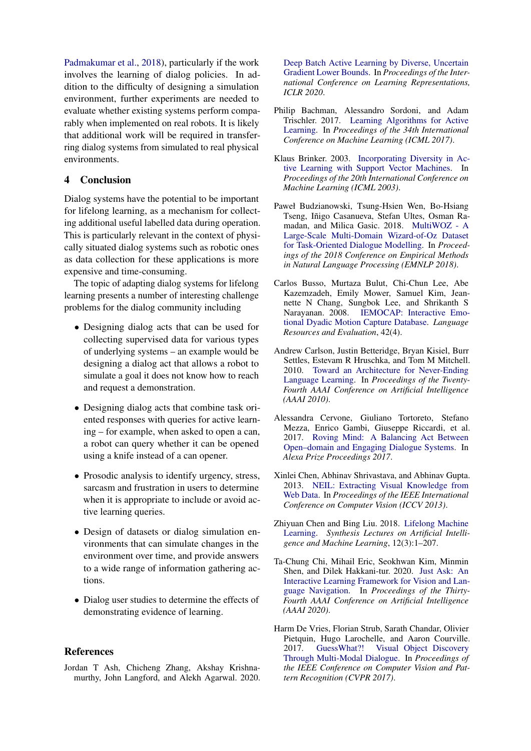[Padmakumar et al.,](#page-5-8) [2018\)](#page-5-8), particularly if the work involves the learning of dialog policies. In addition to the difficulty of designing a simulation environment, further experiments are needed to evaluate whether existing systems perform comparably when implemented on real robots. It is likely that additional work will be required in transferring dialog systems from simulated to real physical environments.

### 4 Conclusion

Dialog systems have the potential to be important for lifelong learning, as a mechanism for collecting additional useful labelled data during operation. This is particularly relevant in the context of physically situated dialog systems such as robotic ones as data collection for these applications is more expensive and time-consuming.

The topic of adapting dialog systems for lifelong learning presents a number of interesting challenge problems for the dialog community including

- Designing dialog acts that can be used for collecting supervised data for various types of underlying systems – an example would be designing a dialog act that allows a robot to simulate a goal it does not know how to reach and request a demonstration.
- Designing dialog acts that combine task oriented responses with queries for active learning – for example, when asked to open a can, a robot can query whether it can be opened using a knife instead of a can opener.
- Prosodic analysis to identify urgency, stress, sarcasm and frustration in users to determine when it is appropriate to include or avoid active learning queries.
- Design of datasets or dialog simulation environments that can simulate changes in the environment over time, and provide answers to a wide range of information gathering actions.
- Dialog user studies to determine the effects of demonstrating evidence of learning.

### **References**

<span id="page-4-7"></span>Jordan T Ash, Chicheng Zhang, Akshay Krishnamurthy, John Langford, and Alekh Agarwal. 2020. [Deep Batch Active Learning by Diverse, Uncertain](https://arxiv.org/abs/1906.03671) [Gradient Lower Bounds.](https://arxiv.org/abs/1906.03671) In *Proceedings of the International Conference on Learning Representations, ICLR 2020*.

- <span id="page-4-3"></span>Philip Bachman, Alessandro Sordoni, and Adam Trischler. 2017. [Learning Algorithms for Active](https://dl.acm.org/doi/10.5555/3305381.3305413) [Learning.](https://dl.acm.org/doi/10.5555/3305381.3305413) In *Proceedings of the 34th International Conference on Machine Learning (ICML 2017)*.
- <span id="page-4-6"></span>Klaus Brinker. 2003. [Incorporating Diversity in Ac](https://www.aaai.org/Papers/ICML/2003/ICML03-011.pdf)[tive Learning with Support Vector Machines.](https://www.aaai.org/Papers/ICML/2003/ICML03-011.pdf) In *Proceedings of the 20th International Conference on Machine Learning (ICML 2003)*.
- <span id="page-4-9"></span>Paweł Budzianowski, Tsung-Hsien Wen, Bo-Hsiang Tseng, Iñigo Casanueva, Stefan Ultes, Osman Ramadan, and Milica Gasic. 2018. [MultiWOZ - A](https://www.aclweb.org/anthology/D18-1547.pdf) [Large-Scale Multi-Domain Wizard-of-Oz Dataset](https://www.aclweb.org/anthology/D18-1547.pdf) [for Task-Oriented Dialogue Modelling.](https://www.aclweb.org/anthology/D18-1547.pdf) In *Proceedings of the 2018 Conference on Empirical Methods in Natural Language Processing (EMNLP 2018)*.
- <span id="page-4-8"></span>Carlos Busso, Murtaza Bulut, Chi-Chun Lee, Abe Kazemzadeh, Emily Mower, Samuel Kim, Jeannette N Chang, Sungbok Lee, and Shrikanth S Narayanan. 2008. [IEMOCAP: Interactive Emo](https://link.springer.com/article/10.1007/s10579-008-9076-6)[tional Dyadic Motion Capture Database.](https://link.springer.com/article/10.1007/s10579-008-9076-6) *Language Resources and Evaluation*, 42(4).
- <span id="page-4-4"></span>Andrew Carlson, Justin Betteridge, Bryan Kisiel, Burr Settles, Estevam R Hruschka, and Tom M Mitchell. 2010. [Toward an Architecture for Never-Ending](https://dl.acm.org/doi/abs/10.5555/2898607.2898816) [Language Learning.](https://dl.acm.org/doi/abs/10.5555/2898607.2898816) In *Proceedings of the Twenty-Fourth AAAI Conference on Artificial Intelligence (AAAI 2010)*.
- <span id="page-4-1"></span>Alessandra Cervone, Giuliano Tortoreto, Stefano Mezza, Enrico Gambi, Giuseppe Riccardi, et al. 2017. [Roving Mind: A Balancing Act Between](https://m.media-amazon.com/images/G/01/mobile-apps/dex/alexa/alexaprize/assets/pdf/2017/Rovingmind.pdf) [Open–domain and Engaging Dialogue Systems.](https://m.media-amazon.com/images/G/01/mobile-apps/dex/alexa/alexaprize/assets/pdf/2017/Rovingmind.pdf) In *Alexa Prize Proceedings 2017*.
- <span id="page-4-5"></span>Xinlei Chen, Abhinav Shrivastava, and Abhinav Gupta. 2013. [NEIL: Extracting Visual Knowledge from](http://openaccess.thecvf.com/content_iccv_2013/html/Chen_NEIL_Extracting_Visual_2013_ICCV_paper.html) [Web Data.](http://openaccess.thecvf.com/content_iccv_2013/html/Chen_NEIL_Extracting_Visual_2013_ICCV_paper.html) In *Proceedings of the IEEE International Conference on Computer Vision (ICCV 2013)*.
- <span id="page-4-0"></span>Zhiyuan Chen and Bing Liu. 2018. [Lifelong Machine](https://pdfs.semanticscholar.org/5da4/3ff9c246ae37d9006bba3406009cb4fb1dcf.pdf?_ga=2.235260936.82076766.1592264332-968529867.1592264332) [Learning.](https://pdfs.semanticscholar.org/5da4/3ff9c246ae37d9006bba3406009cb4fb1dcf.pdf?_ga=2.235260936.82076766.1592264332-968529867.1592264332) *Synthesis Lectures on Artificial Intelligence and Machine Learning*, 12(3):1–207.
- <span id="page-4-2"></span>Ta-Chung Chi, Mihail Eric, Seokhwan Kim, Minmin Shen, and Dilek Hakkani-tur. 2020. [Just Ask: An](https://arxiv.org/abs/1912.00915) [Interactive Learning Framework for Vision and Lan](https://arxiv.org/abs/1912.00915)[guage Navigation.](https://arxiv.org/abs/1912.00915) In *Proceedings of the Thirty-Fourth AAAI Conference on Artificial Intelligence (AAAI 2020)*.
- <span id="page-4-10"></span>Harm De Vries, Florian Strub, Sarath Chandar, Olivier Pietquin, Hugo Larochelle, and Aaron Courville.<br>2017. GuessWhat?! Visual Object Discovery 2017. [GuessWhat?! Visual Object Discovery](http://openaccess.thecvf.com/content_cvpr_2017/html/de_Vries_GuessWhat_Visual_Object_CVPR_2017_paper.html) [Through Multi-Modal Dialogue.](http://openaccess.thecvf.com/content_cvpr_2017/html/de_Vries_GuessWhat_Visual_Object_CVPR_2017_paper.html) In *Proceedings of the IEEE Conference on Computer Vision and Pattern Recognition (CVPR 2017)*.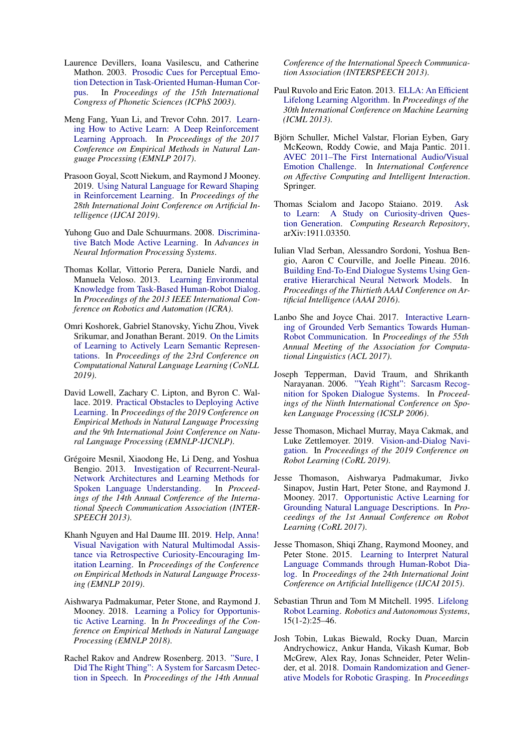- <span id="page-5-16"></span>Laurence Devillers, Ioana Vasilescu, and Catherine Mathon. 2003. [Prosodic Cues for Perceptual Emo](https://www.internationalphoneticassociation.org/icphs-proceedings/ICPhS2003/papers/p15_1505.pdf)[tion Detection in Task-Oriented Human-Human Cor](https://www.internationalphoneticassociation.org/icphs-proceedings/ICPhS2003/papers/p15_1505.pdf)[pus.](https://www.internationalphoneticassociation.org/icphs-proceedings/ICPhS2003/papers/p15_1505.pdf) In *Proceedings of the 15th International Congress of Phonetic Sciences (ICPhS 2003)*.
- <span id="page-5-9"></span>Meng Fang, Yuan Li, and Trevor Cohn. 2017. [Learn](https://www.aclweb.org/anthology/D17-1063.pdf)[ing How to Active Learn: A Deep Reinforcement](https://www.aclweb.org/anthology/D17-1063.pdf) [Learning Approach.](https://www.aclweb.org/anthology/D17-1063.pdf) In *Proceedings of the 2017 Conference on Empirical Methods in Natural Language Processing (EMNLP 2017)*.
- <span id="page-5-14"></span>Prasoon Goyal, Scott Niekum, and Raymond J Mooney. 2019. [Using Natural Language for Reward Shaping](https://dl.acm.org/citation.cfm?id=3367371) [in Reinforcement Learning.](https://dl.acm.org/citation.cfm?id=3367371) In *Proceedings of the 28th International Joint Conference on Artificial Intelligence (IJCAI 2019)*.
- <span id="page-5-15"></span>Yuhong Guo and Dale Schuurmans. 2008. [Discrimina](http://papers.nips.cc/paper/3295-discriminative-batch-mode-active-learning)[tive Batch Mode Active Learning.](http://papers.nips.cc/paper/3295-discriminative-batch-mode-active-learning) In *Advances in Neural Information Processing Systems*.
- <span id="page-5-3"></span>Thomas Kollar, Vittorio Perera, Daniele Nardi, and Manuela Veloso. 2013. [Learning Environmental](https://ieeexplore.ieee.org/abstract/document/6631186?casa_token=f-iHc4qWIDgAAAAA:cRuLUCxCDThsOSkwP6cSUWU_iJA_Oyam5rR0vn1H4B6sZ6qkSgs5jiW4Edy-HVEoapyVUVfL-d-v) [Knowledge from Task-Based Human-Robot Dialog.](https://ieeexplore.ieee.org/abstract/document/6631186?casa_token=f-iHc4qWIDgAAAAA:cRuLUCxCDThsOSkwP6cSUWU_iJA_Oyam5rR0vn1H4B6sZ6qkSgs5jiW4Edy-HVEoapyVUVfL-d-v) In *Proceedings of the 2013 IEEE International Conference on Robotics and Automation (ICRA)*.
- <span id="page-5-13"></span>Omri Koshorek, Gabriel Stanovsky, Yichu Zhou, Vivek Srikumar, and Jonathan Berant. 2019. [On the Limits](https://www.aclweb.org/anthology/K19-1042/) [of Learning to Actively Learn Semantic Represen](https://www.aclweb.org/anthology/K19-1042/)[tations.](https://www.aclweb.org/anthology/K19-1042/) In *Proceedings of the 23rd Conference on Computational Natural Language Learning (CoNLL 2019)*.
- <span id="page-5-12"></span>David Lowell, Zachary C. Lipton, and Byron C. Wallace. 2019. [Practical Obstacles to Deploying Active](https://www.aclweb.org/anthology/D19-1003) [Learning.](https://www.aclweb.org/anthology/D19-1003) In *Proceedings of the 2019 Conference on Empirical Methods in Natural Language Processing and the 9th International Joint Conference on Natural Language Processing (EMNLP-IJCNLP)*.
- <span id="page-5-6"></span>Grégoire Mesnil, Xiaodong He, Li Deng, and Yoshua Bengio. 2013. [Investigation of Recurrent-Neural-](https://www.isca-speech.org/archive/archive_papers/interspeech_2013/i13_3771.pdf)[Network Architectures and Learning Methods for](https://www.isca-speech.org/archive/archive_papers/interspeech_2013/i13_3771.pdf) [Spoken Language Understanding.](https://www.isca-speech.org/archive/archive_papers/interspeech_2013/i13_3771.pdf) In *Proceedings of the 14th Annual Conference of the International Speech Communication Association (INTER-SPEECH 2013)*.
- <span id="page-5-21"></span>Khanh Nguyen and Hal Daume III. 2019. [Help, Anna!](http://hal3.name/docs/#daume19hanna) [Visual Navigation with Natural Multimodal Assis](http://hal3.name/docs/#daume19hanna)[tance via Retrospective Curiosity-Encouraging Im](http://hal3.name/docs/#daume19hanna)[itation Learning.](http://hal3.name/docs/#daume19hanna) In *Proceedings of the Conference on Empirical Methods in Natural Language Processing (EMNLP 2019)*.
- <span id="page-5-8"></span>Aishwarya Padmakumar, Peter Stone, and Raymond J. Mooney. 2018. [Learning a Policy for Opportunis](https://www.aclweb.org/anthology/D18-1165.pdf)[tic Active Learning.](https://www.aclweb.org/anthology/D18-1165.pdf) In *In Proceedings of the Conference on Empirical Methods in Natural Language Processing (EMNLP 2018)*.
- <span id="page-5-19"></span>Rachel Rakov and Andrew Rosenberg. 2013. ["Sure, I](https://www.isca-speech.org/archive/archive_papers/interspeech_2013/i13_0842.pdf) [Did The Right Thing": A System for Sarcasm Detec](https://www.isca-speech.org/archive/archive_papers/interspeech_2013/i13_0842.pdf)[tion in Speech.](https://www.isca-speech.org/archive/archive_papers/interspeech_2013/i13_0842.pdf) In *Proceedings of the 14th Annual*

*Conference of the International Speech Communication Association (INTERSPEECH 2013)*.

- <span id="page-5-11"></span>Paul Ruvolo and Eric Eaton. 2013. [ELLA: An Efficient](http://proceedings.mlr.press/v28/ruvolo13.pdf) [Lifelong Learning Algorithm.](http://proceedings.mlr.press/v28/ruvolo13.pdf) In *Proceedings of the 30th International Conference on Machine Learning (ICML 2013)*.
- <span id="page-5-17"></span>Björn Schuller, Michel Valstar, Florian Eyben, Gary McKeown, Roddy Cowie, and Maja Pantic. 2011. [AVEC 2011–The First International Audio/Visual](https://link.springer.com/chapter/10.1007/978-3-642-24571-8_53) [Emotion Challenge.](https://link.springer.com/chapter/10.1007/978-3-642-24571-8_53) In *International Conference on Affective Computing and Intelligent Interaction*. Springer.
- <span id="page-5-2"></span>Thomas Scialom and Jacopo Staiano. 2019. [Ask](https://arxiv.org/abs/1911.03350) [to Learn: A Study on Curiosity-driven Ques](https://arxiv.org/abs/1911.03350)[tion Generation.](https://arxiv.org/abs/1911.03350) *Computing Research Repository*, arXiv:1911.03350.
- <span id="page-5-0"></span>Iulian Vlad Serban, Alessandro Sordoni, Yoshua Bengio, Aaron C Courville, and Joelle Pineau. 2016. [Building End-To-End Dialogue Systems Using Gen](https://www.aaai.org/ocs/index.php/AAAI/AAAI16/paper/download/11957/12160)[erative Hierarchical Neural Network Models.](https://www.aaai.org/ocs/index.php/AAAI/AAAI16/paper/download/11957/12160) In *Proceedings of the Thirtieth AAAI Conference on Artificial Intelligence (AAAI 2016)*.
- <span id="page-5-4"></span>Lanbo She and Joyce Chai. 2017. [Interactive Learn](https://www.aclweb.org/anthology/P17-1150.pdf)[ing of Grounded Verb Semantics Towards Human-](https://www.aclweb.org/anthology/P17-1150.pdf)[Robot Communication.](https://www.aclweb.org/anthology/P17-1150.pdf) In *Proceedings of the 55th Annual Meeting of the Association for Computational Linguistics (ACL 2017)*.
- <span id="page-5-18"></span>Joseph Tepperman, David Traum, and Shrikanth Narayanan. 2006. ["Yeah Right": Sarcasm Recog](https://www.isca-speech.org/archive/archive_papers/interspeech_2006/i06_1821.pdf)[nition for Spoken Dialogue Systems.](https://www.isca-speech.org/archive/archive_papers/interspeech_2006/i06_1821.pdf) In *Proceedings of the Ninth International Conference on Spoken Language Processing (ICSLP 2006)*.
- <span id="page-5-20"></span>Jesse Thomason, Michael Murray, Maya Cakmak, and Luke Zettlemoyer. 2019. [Vision-and-Dialog Navi](https://arxiv.org/abs/1907.04957)[gation.](https://arxiv.org/abs/1907.04957) In *Proceedings of the 2019 Conference on Robot Learning (CoRL 2019)*.
- <span id="page-5-7"></span>Jesse Thomason, Aishwarya Padmakumar, Jivko Sinapov, Justin Hart, Peter Stone, and Raymond J. Mooney. 2017. [Opportunistic Active Learning for](http://proceedings.mlr.press/v78/thomason17a.html) [Grounding Natural Language Descriptions.](http://proceedings.mlr.press/v78/thomason17a.html) In *Proceedings of the 1st Annual Conference on Robot Learning (CoRL 2017)*.
- <span id="page-5-5"></span>Jesse Thomason, Shiqi Zhang, Raymond Mooney, and Peter Stone. 2015. [Learning to Interpret Natural](https://dl.acm.org/doi/abs/10.5555/2832415.2832516) [Language Commands through Human-Robot Dia](https://dl.acm.org/doi/abs/10.5555/2832415.2832516)[log.](https://dl.acm.org/doi/abs/10.5555/2832415.2832516) In *Proceedings of the 24th International Joint Conference on Artificial Intelligence (IJCAI 2015)*.
- <span id="page-5-10"></span>Sebastian Thrun and Tom M Mitchell. 1995. [Lifelong](https://www.sciencedirect.com/science/article/abs/pii/092188909500004Y) [Robot Learning.](https://www.sciencedirect.com/science/article/abs/pii/092188909500004Y) *Robotics and Autonomous Systems*, 15(1-2):25–46.
- <span id="page-5-1"></span>Josh Tobin, Lukas Biewald, Rocky Duan, Marcin Andrychowicz, Ankur Handa, Vikash Kumar, Bob McGrew, Alex Ray, Jonas Schneider, Peter Welinder, et al. 2018. [Domain Randomization and Gener](https://arxiv.org/abs/1710.06425)[ative Models for Robotic Grasping.](https://arxiv.org/abs/1710.06425) In *Proceedings*